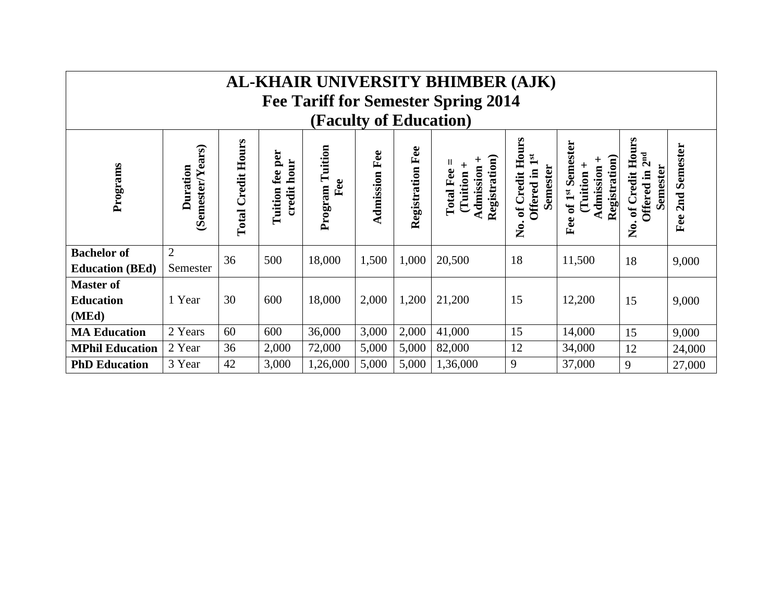| AL-KHAIR UNIVERSITY BHIMBER (AJK)<br><b>Fee Tariff for Semester Spring 2014</b> |                                     |                           |                                        |                           |                      |                  |                                                                    |                                                                                      |                                                                           |                                                                        |                        |
|---------------------------------------------------------------------------------|-------------------------------------|---------------------------|----------------------------------------|---------------------------|----------------------|------------------|--------------------------------------------------------------------|--------------------------------------------------------------------------------------|---------------------------------------------------------------------------|------------------------------------------------------------------------|------------------------|
| (Faculty of Education)                                                          |                                     |                           |                                        |                           |                      |                  |                                                                    |                                                                                      |                                                                           |                                                                        |                        |
| Programs                                                                        | (Semester/Years)<br><b>Duration</b> | <b>Total Credit Hours</b> | fee per<br>hour<br>$credit$<br>Tuition | Tuition<br>Fee<br>Program | <b>Admission Fee</b> | Registration Fee | <b>Registration</b> )<br>Admission<br><b>Total Fee</b><br>(Tuition | of Credit Hours<br>$\mathbf{1}^{\mathbf{st}}$<br><b>Semester</b><br>Offered in<br>Ź. | of 1st Semester<br>Registration)<br>┿<br>┿<br>Admission<br>Tuition<br>Fee | of Credit Hours<br>2 <sup>nd</sup><br>Semester<br>Offered in<br>,<br>Ž | Semester<br>2nd<br>Fee |
| <b>Bachelor</b> of<br><b>Education (BEd)</b>                                    | $\overline{2}$<br>Semester          | 36                        | 500                                    | 18,000                    | 1,500                | 1,000            | 20,500                                                             | 18                                                                                   | 11,500                                                                    | 18                                                                     | 9,000                  |
| <b>Master of</b><br><b>Education</b><br>(MEd)                                   | 1 Year                              | 30                        | 600                                    | 18,000                    | 2,000                | 1,200            | 21,200                                                             | 15                                                                                   | 12,200                                                                    | 15                                                                     | 9,000                  |
| <b>MA Education</b>                                                             | 2 Years                             | 60                        | 600                                    | 36,000                    | 3,000                | 2,000            | 41,000                                                             | 15                                                                                   | 14,000                                                                    | 15                                                                     | 9,000                  |
| <b>MPhil Education</b>                                                          | 2 Year                              | 36                        | 2,000                                  | 72,000                    | 5,000                | 5,000            | 82,000                                                             | 12                                                                                   | 34,000                                                                    | 12                                                                     | 24,000                 |
| <b>PhD Education</b>                                                            | 3 Year                              | 42                        | 3,000                                  | 1,26,000                  | 5,000                | 5,000            | 1,36,000                                                           | 9                                                                                    | 37,000                                                                    | 9                                                                      | 27,000                 |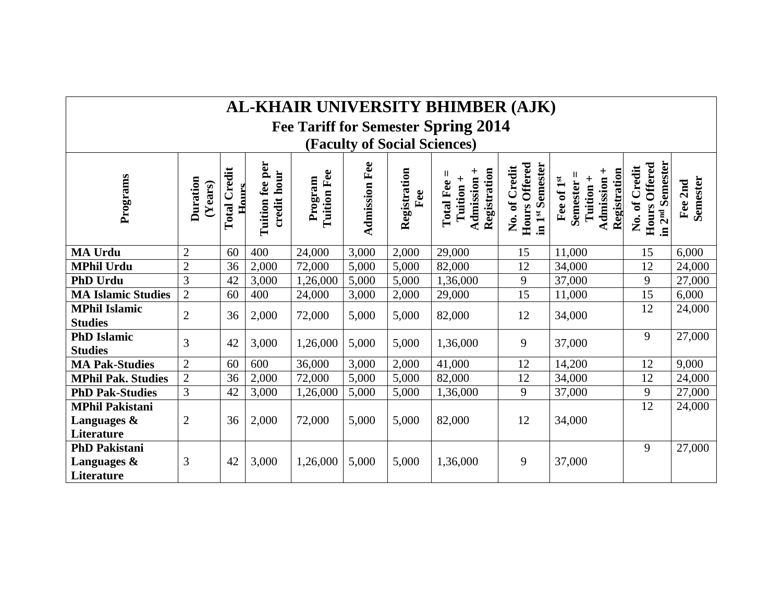| AL-KHAIR UNIVERSITY BHIMBER (AJK)   |
|-------------------------------------|
| Fee Tariff for Semester Spring 2014 |
| <b>(Faculty of Social Sciences)</b> |

**Tuition fee per Hours Offered Hours Offered**  Tuition fee per in 2<sup>nd</sup> Semester **in 2nd Semester Admission Fee Admission Fee** Hours Offered in 1st Semester Hours Offered **No. of Credit in 1st Semester No. of Credit Total Credit Registration Admission +**  No. of Credit **Admission +**  No. of Credit **Total Credit Tuition + Registration** Registration Admission + **credit hour Tuition Fee Semester = Registration Total Fee =**  $Semester =$ **Programs Program Tuition + Duration Fee of 1st Semester Fee 2nd (Years) Hours Fee MA Urdu** 2 60 400 24,000 3,000 2,000 29,000 15 11,000 15 6,000 **MPhil Urdu** 2 36 2,000 72,000 5,000 5,000 82,000 12 34,000 12 24,000 **PhD Urdu**  $\begin{array}{|l} \hline \end{array}$  3  $\begin{array}{|l}$  42  $\begin{array}{|l} 3,000 \\ 3,000 \end{array}$  5,000  $\begin{array}{|l} 5,000 \\ 5,000 \end{array}$  1,36,000  $\begin{array}{|l}$  9  $\begin{array}{|l} 37,000 \\ 37,000 \end{array}$  9  $\begin{array}{|l} 27,000 \\ 9 \end{array}$ **MA Islamic Studies** 2 60 400 24,000 3,000 2,000 29,000 15 11,000 15 6,000 **MPhil Islamic MPhil Islamic**  $\begin{vmatrix} 2 & 36 & 2,000 \\ 4 & 36 & 2,000 \end{vmatrix}$  72,000  $\begin{vmatrix} 5,000 & 5,000 \\ 5,000 & 82,000 \end{vmatrix}$  82,000  $\begin{vmatrix} 12 & 34,000 \\ 34,000 & 12 \end{vmatrix}$   $\begin{vmatrix} 12 & 24,000 \\ 24,000 & 12 \end{vmatrix}$ **PhD Islamic PhD Islamic**  $\begin{vmatrix} 3 & 42 & 3{,}000 & 1{,}26{,}000 & 5{,}000 & 5{,}000 & 1{,}36{,}000 & 9 \end{vmatrix}$  37,000 9 37,000 9 37,000 **MA Pak-Studies** 2 60 600 36,000 3,000 2,000 41,000 12 14,200 12 9,000<br> **MPhil Pak. Studies** 2 36 2,000 72,000 5,000 5,000 82,000 12 34,000 12 24,000 **MPhil Pak. Studies** 2 36 2,000 72,000 5,000 5,000 82,000 12 34,000 12 24,000 **PhD Pak-Studies** 3 42 3,000 1,26,000 5,000 5,000 1,36,000 9 37,000 9 27,000 9 27,000 **MPhil Pakistani**  24,000 **Languages &**  2 | 36 | 2,000 | 72,000 | 5,000 | 5,000 | 82,000 | 12 | 34,000 **Literature PhD Pakistani**  9 27,000**Languages &**  3 42 3,000 1,26,000 5,000 5,000 1,36,000 9 37,000 **Literature**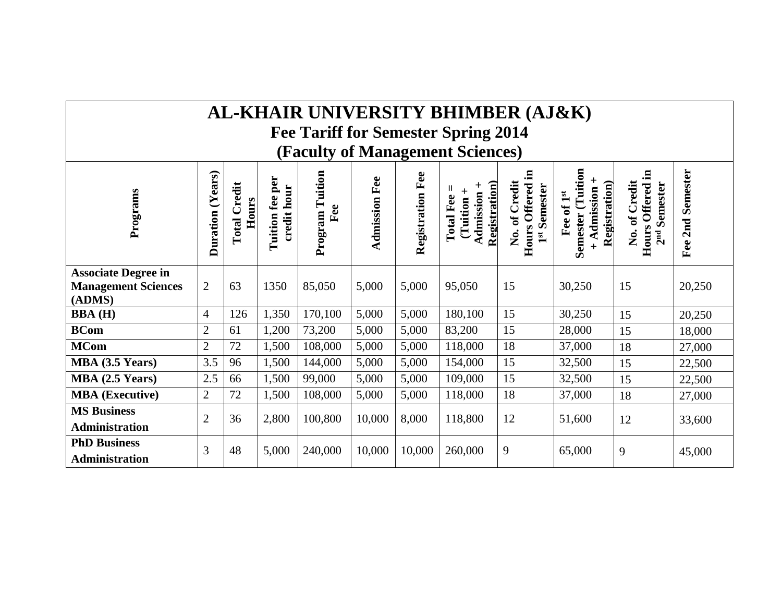## **AL-KHAIR UNIVERSITY BHIMBER (AJ&K)**

**Fee Tariff for Semester Spring 2014**

**(Faculty of Management Sciences)**

| Programs                                     | (Years)<br>Duration | redit<br>Hours<br>Total | per<br>hour<br>fee<br>credit<br>Tuition | Tuition<br>Fee<br>Program | Fee<br>Admission | Fee<br>Registration | $\mathbf{on}$<br>$\ddot{}$<br>Admission<br>Fee<br><b>Tuition</b><br>Registrati<br>Total | 르.<br>redit<br>Semester<br><b>Offered</b><br>ن<br>$\mathbf{d}$<br>Hours<br>,<br>Ž<br>$\mathbf{1}^{\mathbf{st}}$ | (Tuition<br>$\pm$<br><b>Registration</b> )<br>dmission<br>$\mathbf{1}^{\mathbf{st}}$<br>$\sigma$<br>Semester<br>Fee<br>$+$ | Ξ.<br>Credit<br>Semester<br><b>Offered</b><br>No. of<br>Hours<br>2 <sub>nd</sub> | Semester<br>2nd<br>Fee |
|----------------------------------------------|---------------------|-------------------------|-----------------------------------------|---------------------------|------------------|---------------------|-----------------------------------------------------------------------------------------|-----------------------------------------------------------------------------------------------------------------|----------------------------------------------------------------------------------------------------------------------------|----------------------------------------------------------------------------------|------------------------|
| <b>Associate Degree in</b>                   |                     |                         |                                         |                           |                  |                     |                                                                                         |                                                                                                                 |                                                                                                                            |                                                                                  |                        |
| <b>Management Sciences</b><br>(ADMS)         | $\overline{2}$      | 63                      | 1350                                    | 85,050                    | 5,000            | 5,000               | 95,050                                                                                  | 15                                                                                                              | 30,250                                                                                                                     | 15                                                                               | 20,250                 |
| <b>BBA</b> (H)                               | $\overline{4}$      | 126                     | 1,350                                   | 170,100                   | 5,000            | 5,000               | 180,100                                                                                 | 15                                                                                                              | 30,250                                                                                                                     | 15                                                                               | 20,250                 |
| <b>BCom</b>                                  | $\overline{2}$      | 61                      | 1,200                                   | 73,200                    | 5,000            | 5,000               | 83,200                                                                                  | 15                                                                                                              | 28,000                                                                                                                     | 15                                                                               | 18,000                 |
| <b>MCom</b>                                  | $\overline{2}$      | 72                      | 1,500                                   | 108,000                   | 5,000            | 5,000               | 118,000                                                                                 | 18                                                                                                              | 37,000                                                                                                                     | 18                                                                               | 27,000                 |
| MBA (3.5 Years)                              | 3.5                 | 96                      | 1,500                                   | 144,000                   | 5,000            | 5,000               | 154,000                                                                                 | 15                                                                                                              | 32,500                                                                                                                     | 15                                                                               | 22,500                 |
| MBA (2.5 Years)                              | 2.5                 | 66                      | 1,500                                   | 99,000                    | 5,000            | 5,000               | 109,000                                                                                 | 15                                                                                                              | 32,500                                                                                                                     | 15                                                                               | 22,500                 |
| <b>MBA</b> (Executive)                       | $\overline{2}$      | 72                      | 1,500                                   | 108,000                   | 5,000            | 5,000               | 118,000                                                                                 | 18                                                                                                              | 37,000                                                                                                                     | 18                                                                               | 27,000                 |
| <b>MS Business</b><br><b>Administration</b>  | $\overline{2}$      | 36                      | 2,800                                   | 100,800                   | 10,000           | 8,000               | 118,800                                                                                 | 12                                                                                                              | 51,600                                                                                                                     | 12                                                                               | 33,600                 |
| <b>PhD Business</b><br><b>Administration</b> | 3                   | 48                      | 5,000                                   | 240,000                   | 10,000           | 10,000              | 260,000                                                                                 | 9                                                                                                               | 65,000                                                                                                                     | 9                                                                                | 45,000                 |